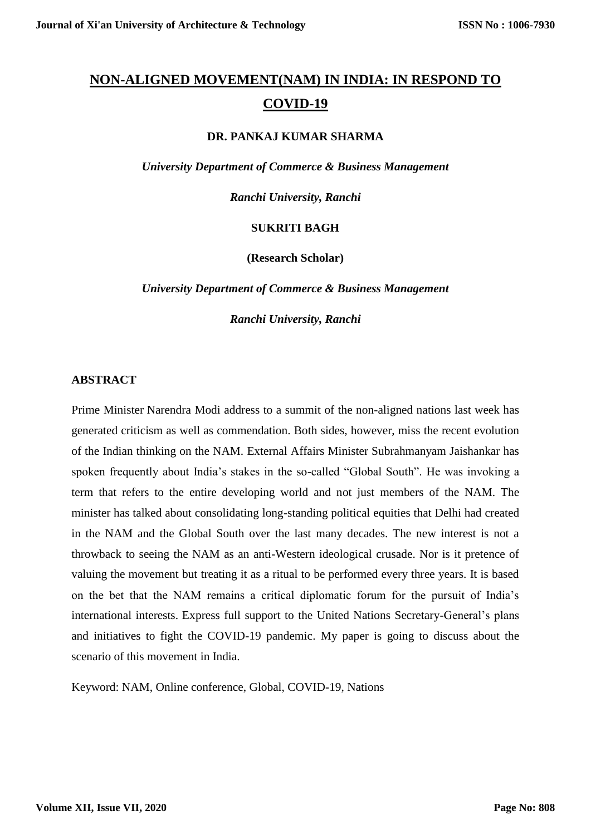# **NON-ALIGNED MOVEMENT(NAM) IN INDIA: IN RESPOND TO COVID-19**

#### **DR. PANKAJ KUMAR SHARMA**

*University Department of Commerce & Business Management*

*Ranchi University, Ranchi*

### **SUKRITI BAGH**

**(Research Scholar)**

*University Department of Commerce & Business Management*

*Ranchi University, Ranchi*

#### **ABSTRACT**

Prime Minister [Narendra Modi](https://indianexpress.com/about/narendra-modi) address to a summit of the non-aligned nations last week has generated criticism as well as commendation. Both sides, however, miss the recent evolution of the Indian thinking on the NAM. External Affairs Minister Subrahmanyam Jaishankar has spoken frequently about India's stakes in the so-called "Global South". He was invoking a term that refers to the entire developing world and not just members of the NAM. The minister has talked about consolidating long-standing political equities that Delhi had created in the NAM and the Global South over the last many decades. The new interest is not a throwback to seeing the NAM as an anti-Western ideological crusade. Nor is it pretence of valuing the movement but treating it as a ritual to be performed every three years. It is based on the bet that the NAM remains a critical diplomatic forum for the pursuit of India's international interests. Express full support to the United Nations Secretary-General's plans and initiatives to fight the COVID-19 pandemic. My paper is going to discuss about the scenario of this movement in India.

Keyword: NAM, Online conference, Global, COVID-19, Nations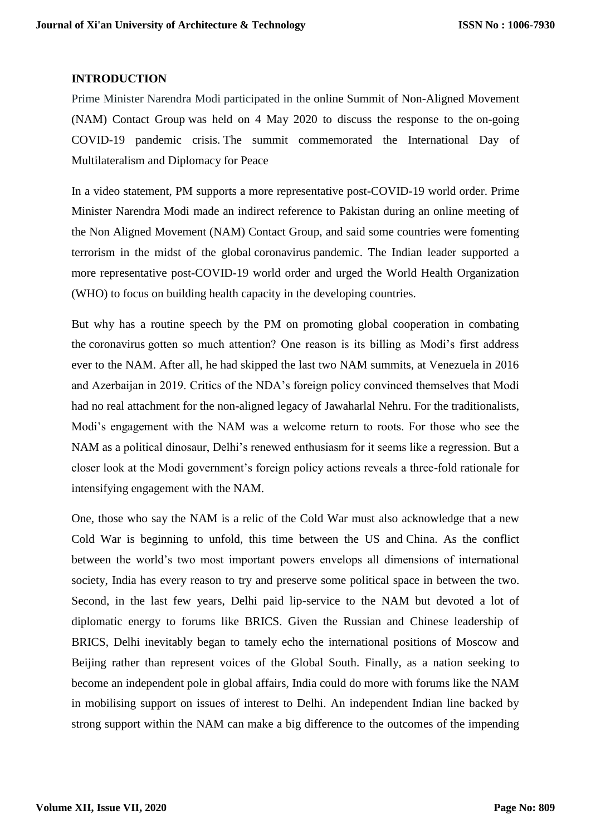### **INTRODUCTION**

Prime Minister Narendra Modi participated in the online Summit of Non-Aligned Movement (NAM) Contact Group was held on 4 May 2020 to discuss the response to the on-going COVID-19 pandemic crisis. The summit commemorated the International Day of Multilateralism and Diplomacy for Peace

In a video statement, PM supports a more representative post-COVID-19 world order. Prime Minister Narendra Modi made an indirect reference to Pakistan during an online meeting of the Non Aligned Movement (NAM) Contact Group, and said some countries were fomenting terrorism in the midst of the global [coronavirus](https://www.thehindu.com/coronavirus/) pandemic. The Indian leader supported a more representative post-COVID-19 world order and urged the World Health Organization (WHO) to focus on building health capacity in the developing countries.

But why has a routine speech by the PM on promoting global cooperation in combating the [coronavirus](https://indianexpress.com/about/coronavirus/) gotten so much attention? One reason is its billing as Modi's first address ever to the NAM. After all, he had skipped the last two NAM summits, at Venezuela in 2016 and Azerbaijan in 2019. Critics of the NDA's foreign policy convinced themselves that Modi had no real attachment for the non-aligned legacy of [Jawaharlal Nehru.](https://indianexpress.com/about/jawaharlal-nehru) For the traditionalists, Modi's engagement with the NAM was a welcome return to roots. For those who see the NAM as a political dinosaur, Delhi's renewed enthusiasm for it seems like a regression. But a closer look at the Modi government's foreign policy actions reveals a three-fold rationale for intensifying engagement with the NAM.

One, those who say the NAM is a relic of the Cold War must also acknowledge that a new Cold War is beginning to unfold, this time between the US and [China.](https://indianexpress.com/article/world/china-coronavirus-tracker-region-wise-cases-and-deaths/) As the conflict between the world's two most important powers envelops all dimensions of international society, India has every reason to try and preserve some political space in between the two. Second, in the last few years, Delhi paid lip-service to the NAM but devoted a lot of diplomatic energy to forums like BRICS. Given the Russian and Chinese leadership of BRICS, Delhi inevitably began to tamely echo the international positions of Moscow and Beijing rather than represent voices of the Global South. Finally, as a nation seeking to become an independent pole in global affairs, India could do more with forums like the NAM in mobilising support on issues of interest to Delhi. An independent Indian line backed by strong support within the NAM can make a big difference to the outcomes of the impending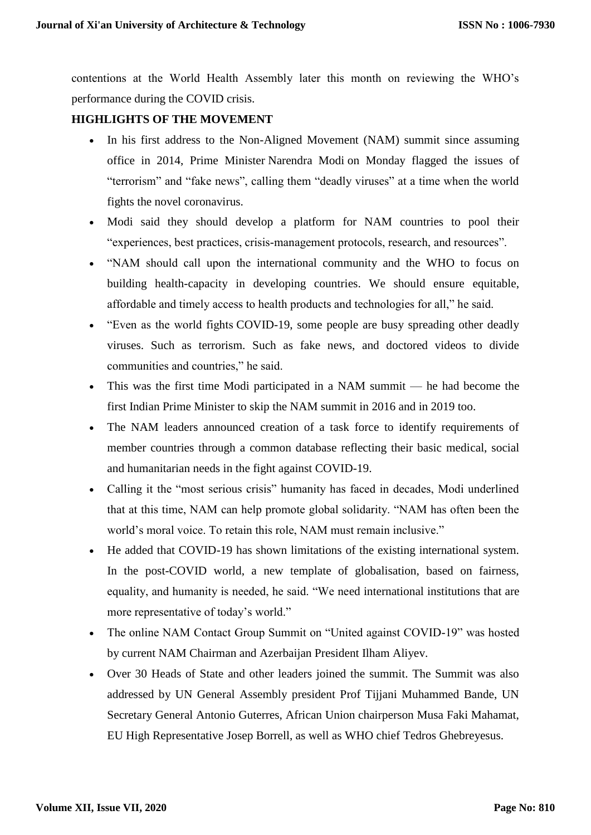contentions at the World Health Assembly later this month on reviewing the WHO's performance during the COVID crisis.

# **HIGHLIGHTS OF THE MOVEMENT**

- In his first address to the Non-Aligned Movement (NAM) summit since assuming office in 2014, Prime Minister [Narendra Modi](https://indianexpress.com/about/narendra-modi) on Monday flagged the issues of "terrorism" and "fake news", calling them "deadly viruses" at a time when the world fights the novel [coronavirus.](https://indianexpress.com/about/coronavirus/)
- Modi said they should develop a platform for NAM countries to pool their "experiences, best practices, crisis-management protocols, research, and resources".
- "NAM should call upon the international community and the WHO to focus on building health-capacity in developing countries. We should ensure equitable, affordable and timely access to health products and technologies for all," he said.
- "Even as the world fights [COVID-19,](https://indianexpress.com/about/coronavirus/) some people are busy spreading other deadly viruses. Such as terrorism. Such as fake news, and doctored videos to divide communities and countries," he said.
- This was the first time Modi participated in a NAM summit he had become the first Indian Prime Minister to skip the NAM summit in 2016 and in 2019 too.
- The NAM leaders announced creation of a task force to identify requirements of member countries through a common database reflecting their basic medical, social and humanitarian needs in the fight against COVID-19.
- Calling it the "most serious crisis" humanity has faced in decades, Modi underlined that at this time, NAM can help promote global solidarity. "NAM has often been the world's moral voice. To retain this role, NAM must remain inclusive."
- He added that COVID-19 has shown limitations of the existing international system. In the post-COVID world, a new template of globalisation, based on fairness, equality, and humanity is needed, he said. "We need international institutions that are more representative of today's world."
- The online NAM Contact Group Summit on "United against COVID-19" was hosted by current NAM Chairman and Azerbaijan President Ilham Aliyev.
- Over 30 Heads of State and other leaders joined the summit. The Summit was also addressed by UN General Assembly president Prof Tijjani Muhammed Bande, UN Secretary General Antonio Guterres, African Union chairperson Musa Faki Mahamat, EU High Representative Josep Borrell, as well as WHO chief Tedros Ghebreyesus.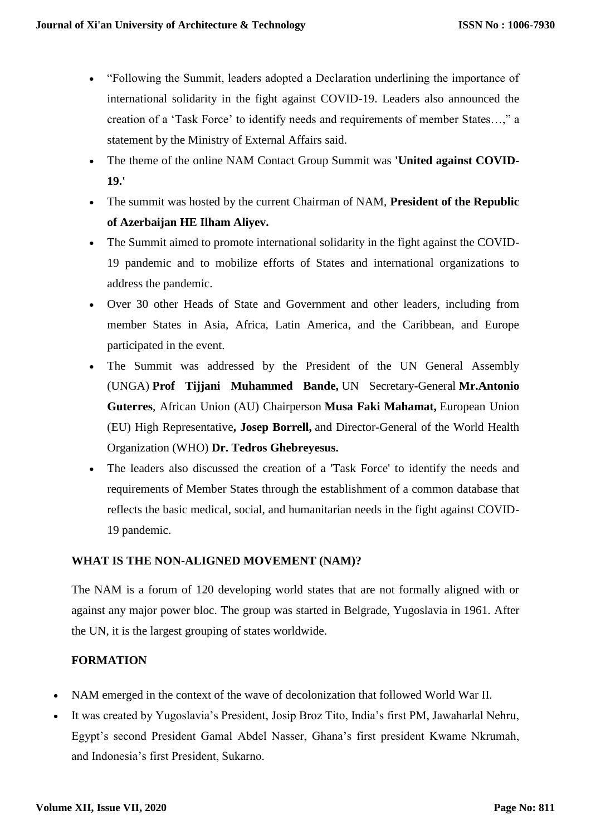- "Following the Summit, leaders adopted a Declaration underlining the importance of international solidarity in the fight against COVID-19. Leaders also announced the creation of a 'Task Force' to identify needs and requirements of member States…," a statement by the Ministry of External Affairs said.
- The theme of the online NAM Contact Group Summit was **'United against COVID-19.'**
- The summit was hosted by the current Chairman of NAM, **President of the Republic of Azerbaijan HE Ilham Aliyev.**
- The Summit aimed to promote international solidarity in the fight against the COVID-19 pandemic and to mobilize efforts of States and international organizations to address the pandemic.
- Over 30 other Heads of State and Government and other leaders, including from member States in Asia, Africa, Latin America, and the Caribbean, and Europe participated in the event.
- The Summit was addressed by the President of the UN General Assembly (UNGA) **Prof Tijjani Muhammed Bande,** UN Secretary-General **Mr.Antonio Guterres**, African Union (AU) Chairperson **Musa Faki Mahamat,** European Union (EU) High Representative**, Josep Borrell,** and Director-General of the World Health Organization (WHO) **Dr. Tedros Ghebreyesus.**
- The leaders also discussed the creation of a 'Task Force' to identify the needs and requirements of Member States through the establishment of a common database that reflects the basic medical, social, and humanitarian needs in the fight against COVID-19 pandemic.

# **WHAT IS THE NON-ALIGNED MOVEMENT (NAM)?**

The NAM is a forum of 120 developing world states that are not formally aligned with or against any major power bloc. The group was started in Belgrade, Yugoslavia in 1961. After the UN, it is the largest grouping of states worldwide.

# **FORMATION**

- NAM emerged in the context of the wave of decolonization that followed World War II.
- It was created by Yugoslavia's President, Josip Broz Tito, India's first PM, Jawaharlal Nehru, Egypt's second President Gamal Abdel Nasser, Ghana's first president Kwame Nkrumah, and Indonesia's first President, Sukarno.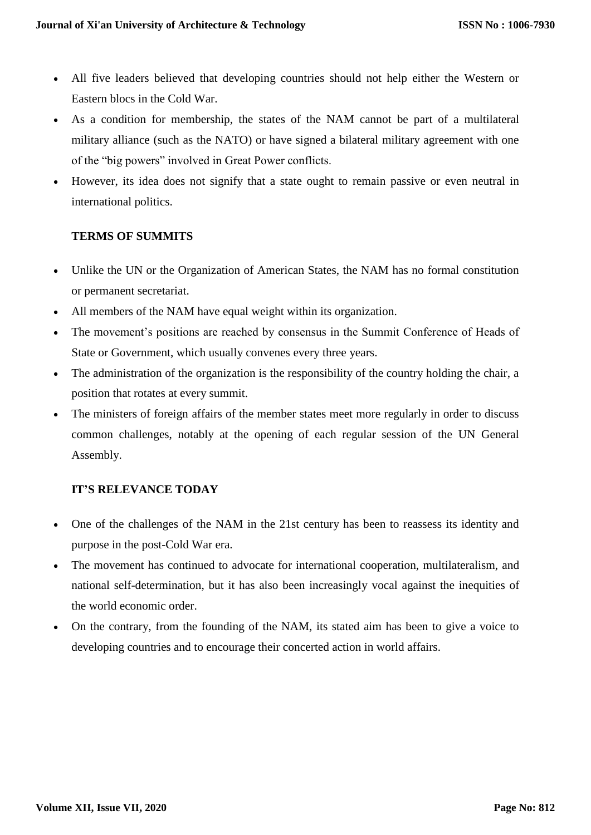- All five leaders believed that developing countries should not help either the Western or Eastern blocs in the Cold War.
- As a condition for membership, the states of the NAM cannot be part of a multilateral military alliance (such as the NATO) or have signed a bilateral military agreement with one of the "big powers" involved in Great Power conflicts.
- However, its idea does not signify that a state ought to remain passive or even neutral in international politics.

# **TERMS OF SUMMITS**

- Unlike the UN or the Organization of American States, the NAM has no formal constitution or permanent secretariat.
- All members of the NAM have equal weight within its organization.
- The movement's positions are reached by consensus in the Summit Conference of Heads of State or Government, which usually convenes every three years.
- The administration of the organization is the responsibility of the country holding the chair, a position that rotates at every summit.
- The ministers of foreign affairs of the member states meet more regularly in order to discuss common challenges, notably at the opening of each regular session of the UN General Assembly.

# **IT'S RELEVANCE TODAY**

- One of the challenges of the NAM in the 21st century has been to reassess its identity and purpose in the post-Cold War era.
- The movement has continued to advocate for international cooperation, multilateralism, and national self-determination, but it has also been increasingly vocal against the inequities of the world economic order.
- On the contrary, from the founding of the NAM, its stated aim has been to give a voice to developing countries and to encourage their concerted action in world affairs.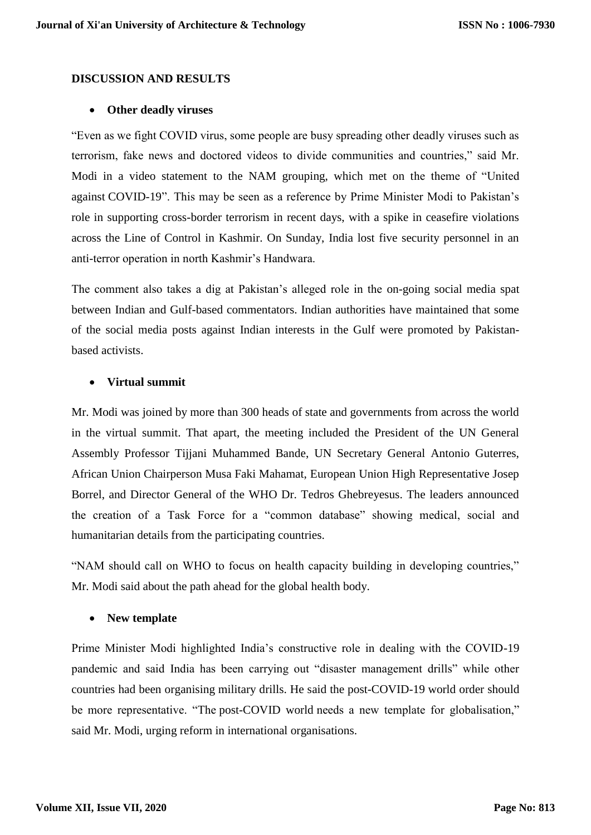### **DISCUSSION AND RESULTS**

#### **Other deadly viruses**

"Even as we fight COVID virus, some people are busy spreading other deadly viruses such as terrorism, fake news and doctored videos to divide communities and countries," said Mr. Modi in a video statement to the NAM grouping, which met on the theme of "United against [COVID-19"](https://www.thehindu.com/sci-tech/science/all-about-the-china-coronavirus-covid-19/article30692734.ece). This may be seen as a reference by Prime Minister Modi to Pakistan's role in supporting cross-border terrorism in recent days, with a spike in ceasefire violations across the Line of Control in Kashmir. On Sunday, India lost five security personnel in an anti-terror operation in north Kashmir's Handwara.

The comment also takes a dig at Pakistan's alleged role in the on-going social media spat between Indian and Gulf-based commentators. Indian authorities have maintained that some of the social media posts against Indian interests in the Gulf were promoted by Pakistanbased activists.

#### **Virtual summit**

Mr. Modi was joined by more than 300 heads of state and governments from across the world in the virtual summit. That apart, the meeting included the President of the UN General Assembly Professor Tijjani Muhammed Bande, UN Secretary General Antonio Guterres, African Union Chairperson Musa Faki Mahamat, European Union High Representative Josep Borrel, and Director General of the WHO Dr. Tedros Ghebreyesus. The leaders announced the creation of a Task Force for a "common database" showing medical, social and humanitarian details from the participating countries.

"NAM should call on WHO to focus on health capacity building in developing countries," Mr. Modi said about the path ahead for the global health body.

#### **New template**

Prime Minister Modi highlighted India's constructive role in dealing with the COVID-19 pandemic and said India has been carrying out "disaster management drills" while other countries had been organising military drills. He said the [post-COVID-19](https://www.thehindu.com/opinion/lead/the-spectre-of-a-post-covid-19-world/article31252172.ece) world order should be more representative. "The [post-COVID world](https://www.thehindu.com/news/cities/chennai/post-covid-19-life-will-never-be-the-same-again/article31334665.ece) needs a new template for globalisation," said Mr. Modi, urging reform in international organisations.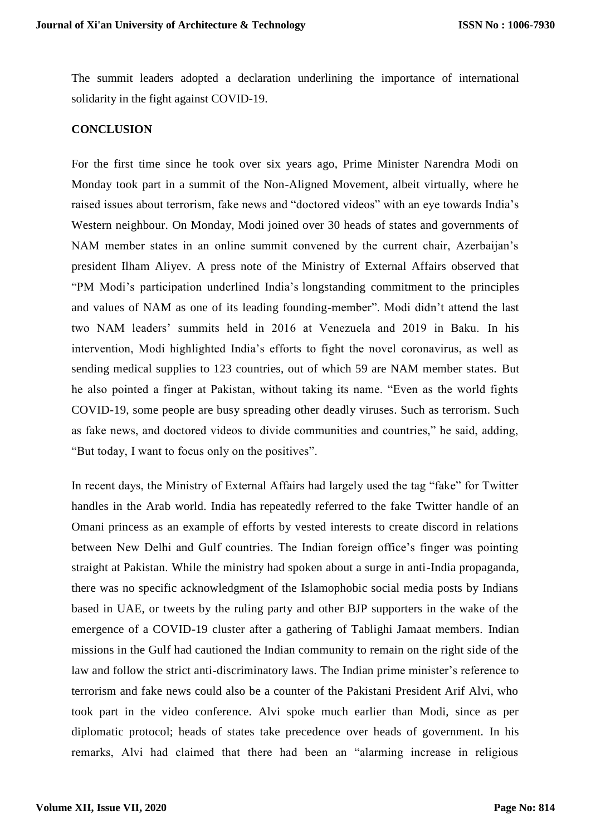The summit leaders adopted a declaration underlining the importance of international solidarity in the fight against COVID-19.

### **CONCLUSION**

For the first time since he took over six years ago, Prime Minister Narendra Modi on Monday took part in a summit of the Non-Aligned Movement, albeit virtually, where he raised issues about terrorism, fake news and "doctored videos" with an eye towards India's Western neighbour. On Monday, Modi joined over 30 heads of states and governments of NAM member states in an online summit convened by the current chair, Azerbaijan's president Ilham Aliyev. A press note of the Ministry of External Affairs observed that "PM Modi's participation underlined India's [longstanding commitment](https://mea.gov.in/press-releases.htm?dtl/32670/Prime+Minister+participates+at+the+online+Summit+of+NAM+Contact+Group) to the principles and values of NAM as one of its leading founding-member". Modi didn't attend the last two NAM leaders' summits held in 2016 at Venezuela and 2019 in Baku. In his intervention, Modi highlighted India's efforts to fight the novel coronavirus, as well as sending medical supplies to 123 countries, out of which 59 are NAM member states. But he also pointed a finger at Pakistan, without taking its name. "Even as the world fights COVID-19, some people are busy spreading other deadly viruses. Such as terrorism. Such as fake news, and doctored videos to divide communities and countries," he said, adding, "But today, I want to focus only on the positives".

In recent days, the Ministry of External Affairs had largely used the tag "fake" for Twitter handles in the Arab world. India has [repeatedly referred](https://www.aninews.in/news/national/general-news/much-of-we-see-is-propaganda-mea-on-reported-discord-between-india-and-gulf-countries20200430200141/) to the fake Twitter handle of an Omani princess as an example of efforts by vested interests to create discord in relations between New Delhi and Gulf countries. The Indian foreign office's finger was pointing straight at Pakistan. While the ministry had spoken about a surge in anti-India propaganda, there was no specific acknowledgment of the Islamophobic social media posts by Indians based in UAE, or tweets by the ruling party and other BJP supporters in the wake of the emergence of a COVID-19 cluster after a gathering of Tablighi Jamaat members. [Indian](https://thewire.in/external-affairs/india-arab-world-anti-muslim-tweets-coronavirus)  [missions in the Gulf](https://thewire.in/external-affairs/india-arab-world-anti-muslim-tweets-coronavirus) had cautioned the Indian community to remain on the right side of the law and follow the strict anti-discriminatory laws. The Indian prime minister's reference to terrorism and fake news could also be a counter of the Pakistani President Arif Alvi, who took part in the video conference. Alvi spoke much earlier than Modi, since as per diplomatic protocol; heads of states take precedence over heads of government. In his remarks, Alvi had claimed that there had been an "alarming increase in religious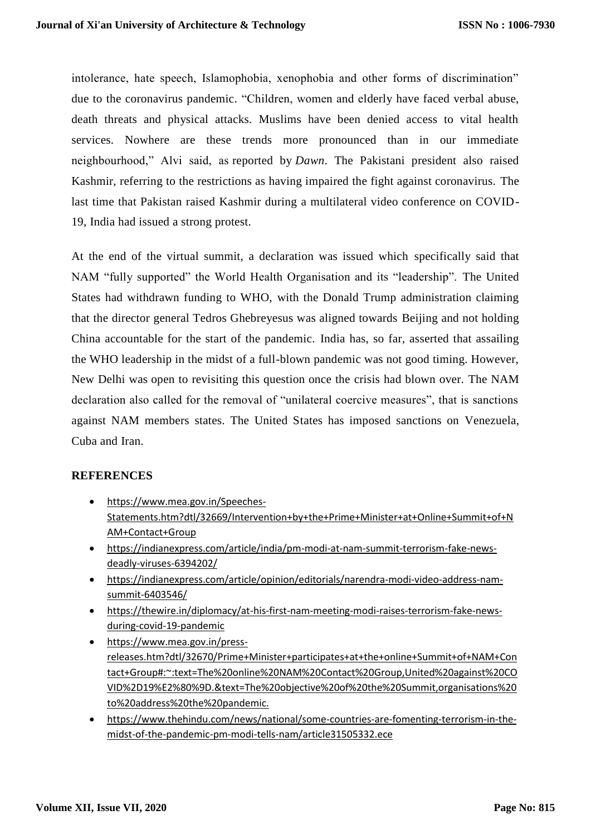intolerance, hate speech, Islamophobia, xenophobia and other forms of discrimination" due to the coronavirus pandemic. "Children, women and elderly have faced verbal abuse, death threats and physical attacks. Muslims have been denied access to vital health services. Nowhere are these trends more pronounced than in our immediate neighbourhood," Alvi said, as [reported by](https://www.dawn.com/news/1554504/) *Dawn*. The Pakistani president also raised Kashmir, referring to the restrictions as having impaired the fight against coronavirus. The last time that Pakistan raised Kashmir during a multilateral video conference on COVID-19, India had [issued a strong protest.](https://www.thehindu.com/news/national/india-slams-pak-for-raising-kashmir-at-saarc-video-conference-says-it-misused-platform/article31111210.ece)

At the end of the virtual summit, a declaration was issued which specifically said that NAM "fully supported" the World Health Organisation and its "leadership". The United States had withdrawn funding to WHO, with the Donald Trump administration claiming that the director general Tedros Ghebreyesus was aligned towards Beijing and not holding China accountable for the start of the pandemic. India has, so far, asserted that assailing the WHO leadership in the midst of a full-blown pandemic was not good timing. However, New Delhi was [open to revisiting this question](https://thewire.in/diplomacy/donald-trumps-fund-freeze-who-india-tedros) once the crisis had blown over. The NAM declaration also called for the removal of "unilateral coercive measures", that is sanctions against NAM members states. The United States has imposed sanctions on Venezuela, Cuba and Iran.

### **REFERENCES**

- [https://www.mea.gov.in/Speeches-](https://www.mea.gov.in/Speeches-Statements.htm?dtl/32669/Intervention+by+the+Prime+Minister+at+Online+Summit+of+NAM+Contact+Group)[Statements.htm?dtl/32669/Intervention+by+the+Prime+Minister+at+Online+Summit+of+N](https://www.mea.gov.in/Speeches-Statements.htm?dtl/32669/Intervention+by+the+Prime+Minister+at+Online+Summit+of+NAM+Contact+Group) [AM+Contact+Group](https://www.mea.gov.in/Speeches-Statements.htm?dtl/32669/Intervention+by+the+Prime+Minister+at+Online+Summit+of+NAM+Contact+Group)
- [https://indianexpress.com/article/india/pm-modi-at-nam-summit-terrorism-fake-news](https://indianexpress.com/article/india/pm-modi-at-nam-summit-terrorism-fake-news-deadly-viruses-6394202/)[deadly-viruses-6394202/](https://indianexpress.com/article/india/pm-modi-at-nam-summit-terrorism-fake-news-deadly-viruses-6394202/)
- [https://indianexpress.com/article/opinion/editorials/narendra-modi-video-address-nam](https://indianexpress.com/article/opinion/editorials/narendra-modi-video-address-nam-summit-6403546/)[summit-6403546/](https://indianexpress.com/article/opinion/editorials/narendra-modi-video-address-nam-summit-6403546/)
- [https://thewire.in/diplomacy/at-his-first-nam-meeting-modi-raises-terrorism-fake-news](https://thewire.in/diplomacy/at-his-first-nam-meeting-modi-raises-terrorism-fake-news-during-covid-19-pandemic)[during-covid-19-pandemic](https://thewire.in/diplomacy/at-his-first-nam-meeting-modi-raises-terrorism-fake-news-during-covid-19-pandemic)
- [https://www.mea.gov.in/press](https://www.mea.gov.in/press-releases.htm?dtl/32670/Prime+Minister+participates+at+the+online+Summit+of+NAM+Contact+Group#:~:text=The%20online%20NAM%20Contact%20Group,United%20against%20COVID%2D19%E2%80%9D.&text=The%20objective%20of%20the%20Summit,organisations%20to%20address%20the%20pandemic.)[releases.htm?dtl/32670/Prime+Minister+participates+at+the+online+Summit+of+NAM+Con](https://www.mea.gov.in/press-releases.htm?dtl/32670/Prime+Minister+participates+at+the+online+Summit+of+NAM+Contact+Group#:~:text=The%20online%20NAM%20Contact%20Group,United%20against%20COVID%2D19%E2%80%9D.&text=The%20objective%20of%20the%20Summit,organisations%20to%20address%20the%20pandemic.) [tact+Group#:~:text=The%20online%20NAM%20Contact%20Group,United%20against%20CO](https://www.mea.gov.in/press-releases.htm?dtl/32670/Prime+Minister+participates+at+the+online+Summit+of+NAM+Contact+Group#:~:text=The%20online%20NAM%20Contact%20Group,United%20against%20COVID%2D19%E2%80%9D.&text=The%20objective%20of%20the%20Summit,organisations%20to%20address%20the%20pandemic.) [VID%2D19%E2%80%9D.&text=The%20objective%20of%20the%20Summit,organisations%20](https://www.mea.gov.in/press-releases.htm?dtl/32670/Prime+Minister+participates+at+the+online+Summit+of+NAM+Contact+Group#:~:text=The%20online%20NAM%20Contact%20Group,United%20against%20COVID%2D19%E2%80%9D.&text=The%20objective%20of%20the%20Summit,organisations%20to%20address%20the%20pandemic.) [to%20address%20the%20pandemic.](https://www.mea.gov.in/press-releases.htm?dtl/32670/Prime+Minister+participates+at+the+online+Summit+of+NAM+Contact+Group#:~:text=The%20online%20NAM%20Contact%20Group,United%20against%20COVID%2D19%E2%80%9D.&text=The%20objective%20of%20the%20Summit,organisations%20to%20address%20the%20pandemic.)
- [https://www.thehindu.com/news/national/some-countries-are-fomenting-terrorism-in-the](https://www.thehindu.com/news/national/some-countries-are-fomenting-terrorism-in-the-midst-of-the-pandemic-pm-modi-tells-nam/article31505332.ece)[midst-of-the-pandemic-pm-modi-tells-nam/article31505332.ece](https://www.thehindu.com/news/national/some-countries-are-fomenting-terrorism-in-the-midst-of-the-pandemic-pm-modi-tells-nam/article31505332.ece)